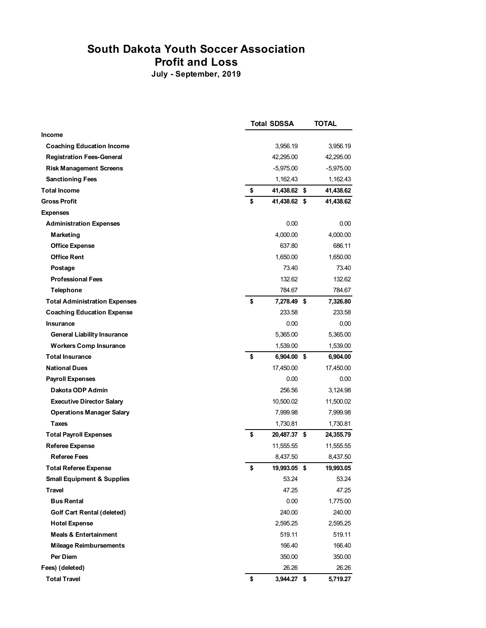## **South Dakota Youth Soccer Association**

**Profit and Loss**

**July - September, 2019**

|                                       | <b>Total SDSSA</b> | TOTAL           |
|---------------------------------------|--------------------|-----------------|
| <b>Income</b>                         |                    |                 |
| <b>Coaching Education Income</b>      | 3,956.19           | 3.956.19        |
| <b>Registration Fees-General</b>      | 42,295.00          | 42,295.00       |
| <b>Risk Management Screens</b>        | $-5,975.00$        | $-5,975.00$     |
| <b>Sanctioning Fees</b>               | 1,162.43           | 1,162.43        |
| <b>Total Income</b>                   | \$<br>41,438.62    | \$<br>41,438.62 |
| <b>Gross Profit</b>                   | \$<br>41,438.62 \$ | 41,438.62       |
| <b>Expenses</b>                       |                    |                 |
| <b>Administration Expenses</b>        | 0.00               | 0.00            |
| Marketing                             | 4,000.00           | 4,000.00        |
| <b>Office Expense</b>                 | 637.80             | 686.11          |
| <b>Office Rent</b>                    | 1,650.00           | 1,650.00        |
| Postage                               | 73.40              | 73.40           |
| <b>Professional Fees</b>              | 132.62             | 132.62          |
| <b>Telephone</b>                      | 784.67             | 784.67          |
| <b>Total Administration Expenses</b>  | \$<br>7,278.49 \$  | 7,326.80        |
| <b>Coaching Education Expense</b>     | 233.58             | 233.58          |
| <b>Insurance</b>                      | 0.00               | 0.00            |
| <b>General Liability Insurance</b>    | 5.365.00           | 5,365.00        |
| <b>Workers Comp Insurance</b>         | 1,539.00           | 1,539.00        |
| <b>Total Insurance</b>                | \$<br>6,904.00 \$  | 6,904.00        |
| <b>National Dues</b>                  | 17,450.00          | 17,450.00       |
| <b>Payroll Expenses</b>               | 0.00               | 0.00            |
| Dakota ODP Admin                      | 256.56             | 3,124.98        |
| <b>Executive Director Salary</b>      | 10,500.02          | 11,500.02       |
| <b>Operations Manager Salary</b>      | 7,999.98           | 7,999.98        |
| <b>Taxes</b>                          | 1,730.81           | 1,730.81        |
| <b>Total Payroll Expenses</b>         | \$<br>20,487.37 \$ | 24,355.79       |
| <b>Referee Expense</b>                | 11,555.55          | 11,555.55       |
| <b>Referee Fees</b>                   | 8,437.50           | 8,437.50        |
| <b>Total Referee Expense</b>          | \$<br>19,993.05 \$ | 19,993.05       |
| <b>Small Equipment &amp; Supplies</b> | 53.24              | 53.24           |
| Travel                                | 47.25              | 47.25           |
| <b>Bus Rental</b>                     | 0.00               | 1,775.00        |
| <b>Golf Cart Rental (deleted)</b>     | 240.00             | 240.00          |
| <b>Hotel Expense</b>                  | 2,595.25           | 2,595.25        |
| <b>Meals &amp; Entertainment</b>      | 519.11             | 519.11          |
| <b>Mileage Reimbursements</b>         | 166.40             | 166.40          |
| Per Diem                              | 350.00             | 350.00          |
| Fees) (deleted)                       | 26.26              | 26.26           |
| <b>Total Travel</b>                   | \$<br>3,944.27 \$  | 5,719.27        |